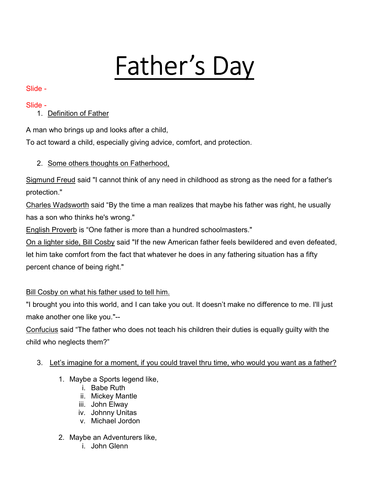# Father's Day

## Slide -

## Slide -

# 1. Definition of Father

A man who brings up and looks after a child,

To act toward a child, especially giving advice, comfort, and protection.

## 2. Some others thoughts on Fatherhood,

Sigmund Freud said "I cannot think of any need in childhood as strong as the need for a father's protection."

Charles Wadsworth said "By the time a man realizes that maybe his father was right, he usually has a son who thinks he's wrong."

English Proverb is "One father is more than a hundred schoolmasters."

On a lighter side, Bill Cosby said "If the new American father feels bewildered and even defeated, let him take comfort from the fact that whatever he does in any fathering situation has a fifty percent chance of being right."

## Bill Cosby on what his father used to tell him.

"I brought you into this world, and I can take you out. It doesn't make no difference to me. I'll just make another one like you."--

Confucius said "The father who does not teach his children their duties is equally guilty with the child who neglects them?"

- 3. Let's imagine for a moment, if you could travel thru time, who would you want as a father?
	- 1. Maybe a Sports legend like,
		- i. Babe Ruth
		- ii. Mickey Mantle
		- iii. John Elway
		- iv. Johnny Unitas
		- v. Michael Jordon
	- 2. Maybe an Adventurers like,
		- i. John Glenn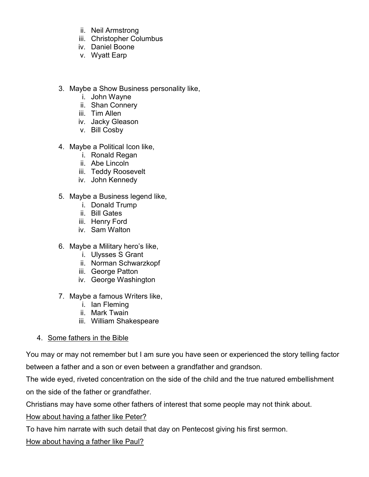- ii. Neil Armstrong
- iii. Christopher Columbus
- iv. Daniel Boone
- v. Wyatt Earp
- 3. Maybe a Show Business personality like,
	- i. John Wayne
	- ii. Shan Connery
	- iii. Tim Allen
	- iv. Jacky Gleason
	- v. Bill Cosby
- 4. Maybe a Political Icon like,
	- i. Ronald Regan
	- ii. Abe Lincoln
	- iii. Teddy Roosevelt
	- iv. John Kennedy
- 5. Maybe a Business legend like,
	- i. Donald Trump
	- ii. Bill Gates
	- iii. Henry Ford
	- iv. Sam Walton
- 6. Maybe a Military hero's like,
	- i. Ulysses S Grant
	- ii. Norman Schwarzkopf
	- iii. George Patton
	- iv. George Washington
- 7. Maybe a famous Writers like,
	- i. Ian Fleming
	- ii. Mark Twain
	- iii. William Shakespeare
- 4. Some fathers in the Bible

You may or may not remember but I am sure you have seen or experienced the story telling factor between a father and a son or even between a grandfather and grandson.

The wide eyed, riveted concentration on the side of the child and the true natured embellishment on the side of the father or grandfather.

Christians may have some other fathers of interest that some people may not think about.

How about having a father like Peter?

To have him narrate with such detail that day on Pentecost giving his first sermon.

How about having a father like Paul?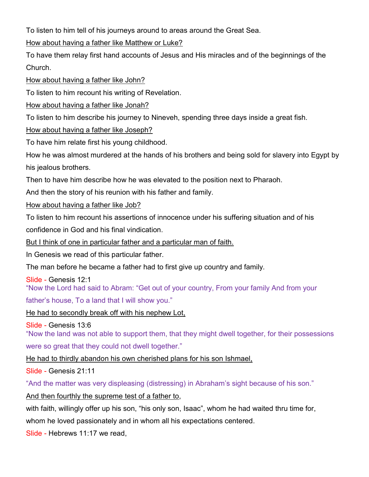To listen to him tell of his journeys around to areas around the Great Sea.

How about having a father like Matthew or Luke?

To have them relay first hand accounts of Jesus and His miracles and of the beginnings of the Church.

How about having a father like John?

To listen to him recount his writing of Revelation.

How about having a father like Jonah?

To listen to him describe his journey to Nineveh, spending three days inside a great fish.

### How about having a father like Joseph?

To have him relate first his young childhood.

How he was almost murdered at the hands of his brothers and being sold for slavery into Egypt by his jealous brothers.

Then to have him describe how he was elevated to the position next to Pharaoh.

And then the story of his reunion with his father and family.

How about having a father like Job?

To listen to him recount his assertions of innocence under his suffering situation and of his

confidence in God and his final vindication.

But I think of one in particular father and a particular man of faith.

In Genesis we read of this particular father.

The man before he became a father had to first give up country and family.

Slide - Genesis 12:1 "Now the Lord had said to Abram: "Get out of your country, From your family And from your

father's house, To a land that I will show you."

He had to secondly break off with his nephew Lot,

Slide - Genesis 13:6

"Now the land was not able to support them, that they might dwell together, for their possessions were so great that they could not dwell together."

He had to thirdly abandon his own cherished plans for his son Ishmael,

Slide - Genesis 21:11

"And the matter was very displeasing (distressing) in Abraham's sight because of his son."

And then fourthly the supreme test of a father to,

with faith, willingly offer up his son, "his only son, Isaac", whom he had waited thru time for, whom he loved passionately and in whom all his expectations centered.

Slide - Hebrews 11:17 we read,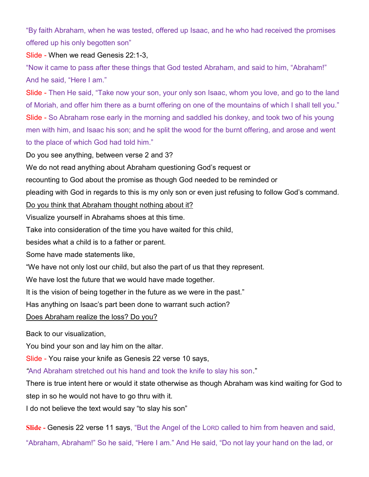"By faith Abraham, when he was tested, offered up Isaac, and he who had received the promises offered up his only begotten son"

#### Slide - When we read Genesis 22:1-3,

"Now it came to pass after these things that God tested Abraham, and said to him, "Abraham!" And he said, "Here I am."

Slide - Then He said, "Take now your son, your only son Isaac, whom you love, and go to the land of Moriah, and offer him there as a burnt offering on one of the mountains of which I shall tell you." Slide - So Abraham rose early in the morning and saddled his donkey, and took two of his young men with him, and Isaac his son; and he split the wood for the burnt offering, and arose and went to the place of which God had told him."

Do you see anything, between verse 2 and 3?

We do not read anything about Abraham questioning God's request or

recounting to God about the promise as though God needed to be reminded or

pleading with God in regards to this is my only son or even just refusing to follow God's command.

#### Do you think that Abraham thought nothing about it?

Visualize yourself in Abrahams shoes at this time.

Take into consideration of the time you have waited for this child,

besides what a child is to a father or parent.

Some have made statements like,

"We have not only lost our child, but also the part of us that they represent.

We have lost the future that we would have made together.

It is the vision of being together in the future as we were in the past."

Has anything on Isaac's part been done to warrant such action?

Does Abraham realize the loss? Do you?

Back to our visualization,

You bind your son and lay him on the altar.

Slide - You raise your knife as Genesis 22 verse 10 says,

"And Abraham stretched out his hand and took the knife to slay his son."

There is true intent here or would it state otherwise as though Abraham was kind waiting for God to step in so he would not have to go thru with it.

I do not believe the text would say "to slay his son"

Slide - Genesis 22 verse 11 says, "But the Angel of the LORD called to him from heaven and said,

"Abraham, Abraham!" So he said, "Here I am." And He said, "Do not lay your hand on the lad, or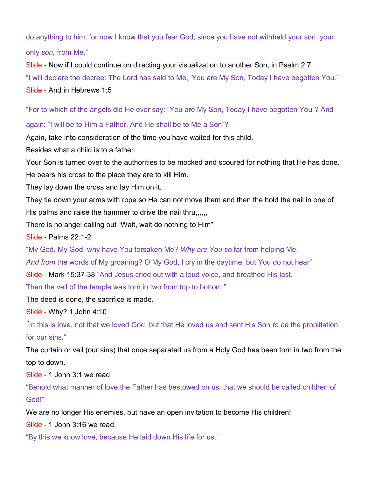do anything to him; for now I know that you fear God, since you have not withheld your son, your only son, from Me."

Slide - Now if I could continue on directing your visualization to another Son, in Psalm 2:7 "I will declare the decree: The Lord has said to Me, 'You are My Son, Today I have begotten You." Slide - And in Hebrews 1:5

"For to which of the angels did He ever say: "You are My Son, Today I have begotten You"? And

#### again: "I will be to Him a Father, And He shall be to Me a Son"?

Again, take into consideration of the time you have waited for this child,

Besides what a child is to a father.

Your Son is turned over to the authorities to be mocked and scoured for nothing that He has done.

He bears his cross to the place they are to kill Him.

They lay down the cross and lay Him on it.

They tie down your arms with rope so He can not move them and then the hold the nail in one of His palms and raise the hammer to drive the nail thru,,,,,

There is no angel calling out "Wait, wait do nothing to Him"

Slide - Palms 22:1-2

"My God, My God, why have You forsaken Me? Why are You so far from helping Me,

And from the words of My groaning? O My God, I cry in the daytime, but You do not hear"

Slide - Mark 15:37-38 "And Jesus cried out with a loud voice, and breathed His last.

Then the veil of the temple was torn in two from top to bottom."

The deed is done, the sacrifice is made.

Slide - Why? 1 John 4:10

In this is love, not that we loved God, but that He loved us and sent His Son to be the propitiation for our sins."

The curtain or veil (our sins) that once separated us from a Holy God has been torn in two from the top to down.

Slide - 1 John 3:1 we read,

"Behold what manner of love the Father has bestowed on us, that we should be called children of God!"

We are no longer His enemies, but have an open invitation to become His children!

Slide - 1 John 3:16 we read,

"By this we know love, because He laid down His life for us."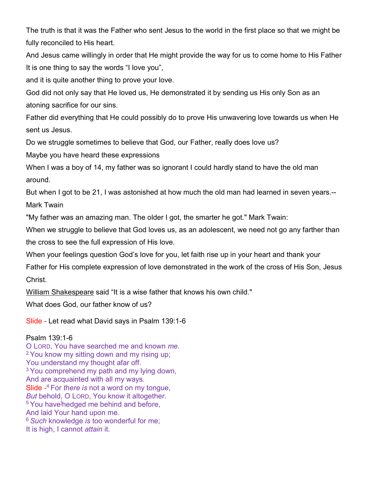The truth is that it was the Father who sent Jesus to the world in the first place so that we might be fully reconciled to His heart.

And Jesus came willingly in order that He might provide the way for us to come home to His Father It is one thing to say the words "I love you",

and it is quite another thing to prove your love.

God did not only say that He loved us, He demonstrated it by sending us His only Son as an atoning sacrifice for our sins.

Father did everything that He could possibly do to prove His unwavering love towards us when He sent us Jesus.

Do we struggle sometimes to believe that God, our Father, really does love us?

Maybe you have heard these expressions

When I was a boy of 14, my father was so ignorant I could hardly stand to have the old man around.

But when I got to be 21, I was astonished at how much the old man had learned in seven years.-- Mark Twain

"My father was an amazing man. The older I got, the smarter he got." Mark Twain:

When we struggle to believe that God loves us, as an adolescent, we need not go any farther than the cross to see the full expression of His love.

When your feelings question God's love for you, let faith rise up in your heart and thank your

Father for His complete expression of love demonstrated in the work of the cross of His Son, Jesus Christ.

William Shakespeare said "It is a wise father that knows his own child."

What does God, our father know of us?

Slide - Let read what David says in Psalm 139:1-6

Psalm 139:1-6 O LORD, You have searched me and known me. <sup>2</sup> You know my sitting down and my rising up; You understand my thought afar off. <sup>3</sup> You comprehend my path and my lying down, And are acquainted with all my ways. Slide  $-4$  For there is not a word on my tongue, But behold, O LORD, You know it altogether. <sup>5</sup> You have hedged me behind and before, And laid Your hand upon me.  $6$  Such knowledge is too wonderful for me; It is high, I cannot *attain* it.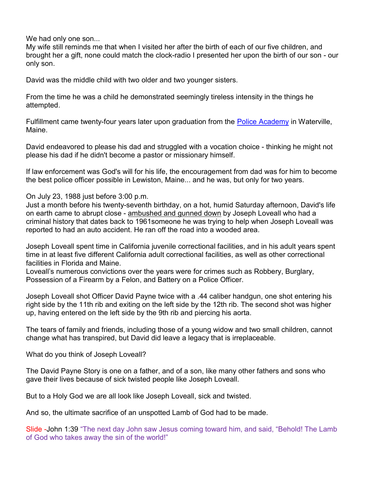We had only one son...

My wife still reminds me that when I visited her after the birth of each of our five children, and brought her a gift, none could match the clock-radio I presented her upon the birth of our son - our only son.

David was the middle child with two older and two younger sisters.

From the time he was a child he demonstrated seemingly tireless intensity in the things he attempted.

Fulfillment came twenty-four years later upon graduation from the Police Academy in Waterville, Maine.

David endeavored to please his dad and struggled with a vocation choice - thinking he might not please his dad if he didn't become a pastor or missionary himself.

If law enforcement was God's will for his life, the encouragement from dad was for him to become the best police officer possible in Lewiston, Maine... and he was, but only for two years.

On July 23, 1988 just before 3:00 p.m.

Just a month before his twenty-seventh birthday, on a hot, humid Saturday afternoon, David's life on earth came to abrupt close - ambushed and gunned down by Joseph Loveall who had a criminal history that dates back to 1961someone he was trying to help when Joseph Loveall was reported to had an auto accident. He ran off the road into a wooded area.

Joseph Loveall spent time in California juvenile correctional facilities, and in his adult years spent time in at least five different California adult correctional facilities, as well as other correctional facilities in Florida and Maine.

Loveall's numerous convictions over the years were for crimes such as Robbery, Burglary, Possession of a Firearm by a Felon, and Battery on a Police Officer.

Joseph Loveall shot Officer David Payne twice with a .44 caliber handgun, one shot entering his right side by the 11th rib and exiting on the left side by the 12th rib. The second shot was higher up, having entered on the left side by the 9th rib and piercing his aorta.

The tears of family and friends, including those of a young widow and two small children, cannot change what has transpired, but David did leave a legacy that is irreplaceable.

What do you think of Joseph Loveall?

The David Payne Story is one on a father, and of a son, like many other fathers and sons who gave their lives because of sick twisted people like Joseph Loveall.

But to a Holy God we are all look like Joseph Loveall, sick and twisted.

And so, the ultimate sacrifice of an unspotted Lamb of God had to be made.

Slide -John 1:39 "The next day John saw Jesus coming toward him, and said, "Behold! The Lamb of God who takes away the sin of the world!"